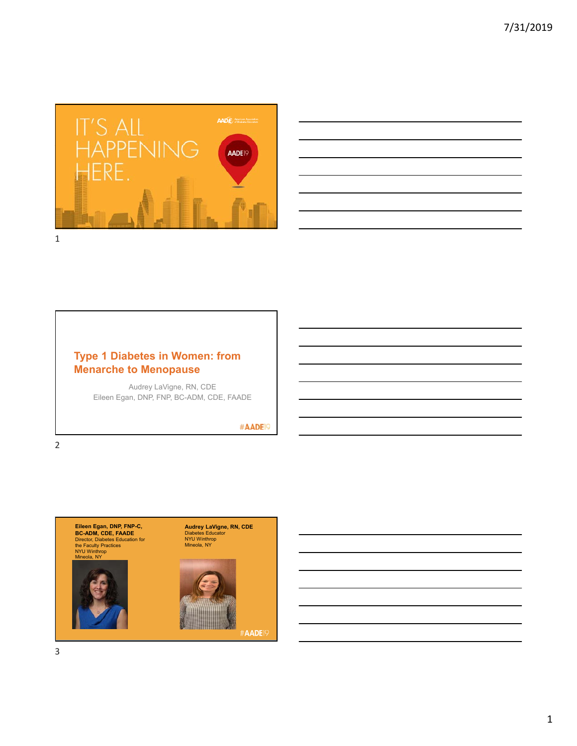



## **Type 1 Diabetes in Women: from Menarche to Menopause**

Audrey LaVigne, RN, CDE Eileen Egan, DNP, FNP, BC-ADM, CDE, FAADE

#AADE<sup>19</sup>

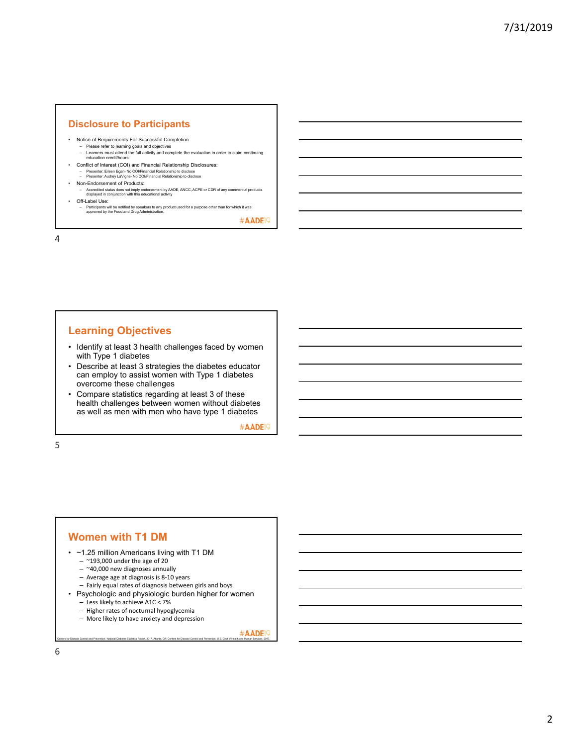#### **Disclosure to Participants**

- Notice of Requirements For Successful Completion
- Please refer to learning goals and objectives Learners must attend the full activity and complete the evaluation in order to claim continuing education credit/hours
- Conflict of Interest (COI) and Financial Relationship Disclosures: – Presenter: Eileen Egan- No COI/Financial Relationship to disclose – Presenter: Audrey LaVigne- No COI/Financial Relationship to disclose
- Non-Endorsement of Products:
	- Accredited status does not imply endorsement by AADE, ANCC, ACPE or CDR of any commercial products displayed in conjunction with this educational activity
- Off-Label Use:
	- Participants will be notified by speakers to any product used for a purpose other than for which it was approved by the Food and Drug Administration.

#AADE<sup>19</sup>

4

## **Learning Objectives**

- Identify at least 3 health challenges faced by women with Type 1 diabetes
- Describe at least 3 strategies the diabetes educator can employ to assist women with Type 1 diabetes overcome these challenges
- Compare statistics regarding at least 3 of these health challenges between women without diabetes as well as men with men who have type 1 diabetes

#AADE<sup>19</sup>

5

#### **Women with T1 DM**

- ~1.25 million Americans living with T1 DM
	- $-$  ~193,000 under the age of 20
	- $-$  ~40,000 new diagnoses annually
	- Average age at diagnosis is 8‐10 years
	- Fairly equal rates of diagnosis between girls and boys
- Psychologic and physiologic burden higher for women
	- Less likely to achieve A1C < 7%
	- Higher rates of nocturnal hypoglycemia
	- More likely to have anxiety and depression
		-

#AADE<sup>19</sup> Centers for Disease Control and Prevention. National Diabetes Statistics Report, 2017. Atlanta, GA: Centers for Disease Control and Prevention, U.S. Dept of Health and Human Services; 2017.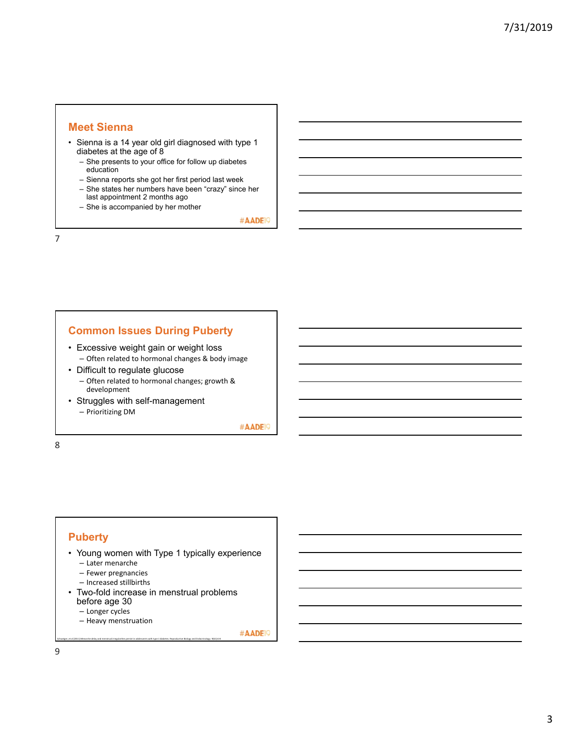## **Meet Sienna**

- Sienna is a 14 year old girl diagnosed with type 1 diabetes at the age of 8
	- She presents to your office for follow up diabetes education
	- Sienna reports she got her first period last week
	- She states her numbers have been "crazy" since her last appointment 2 months ago
	- She is accompanied by her mother

#AADE<sup>19</sup>

7

## **Common Issues During Puberty**

- Excessive weight gain or weight loss – Often related to hormonal changes & body image
- Difficult to regulate glucose
	- Often related to hormonal changes; growth & development
- Struggles with self-management – Prioritizing DM

#AADE<sup>19</sup>

8

## **Puberty**

- Young women with Type 1 typically experience – Later menarche
	- Fewer pregnancies
	- Increased stillbirths
	-
- Two-fold increase in menstrual problems before age 30

Schweiger, et al (2011) Menarche delay and menstrual irregularities persist in adolescents with type 1 diabetes. Reproductive Biology and Endocrinology. 9(61):6‐8

- Longer cycles
- 
- Heavy menstruation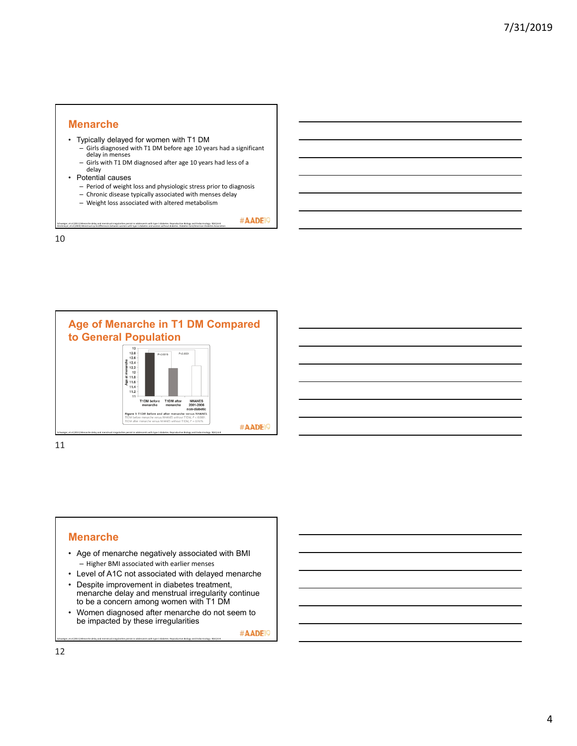#### **Menarche**

- Typically delayed for women with T1 DM
	- , Girls diagnosed with T1 DM before age 10 years had a significant<br>Girls diagnosed with T1 DM before age 10 years had a significant<br>delay in menses
	- Girls with T1 DM diagnosed after age 10 years had less of a delay
- Potential causes
	- Period of weight loss and physiologic stress prior to diagnosis
	- Chronic disease typically associated with menses delay
	- Weight loss associated with altered metabolism

Strotmeyer, et al (2003) Menstrual cycle differences between women with type 1 diabetes and women without diabetes. Diabetes Care/American Diabetes Association Schweiger, et al (2011) Menarche delay and menstrual irregularities persist in adolescents with type 1 diabetes. Reproductive Biology and Endocrinology. 9(61):6‐8

#AADE<sup>19</sup>

10



11

#### **Menarche**

- Age of menarche negatively associated with BMI – Higher BMI associated with earlier menses
- Level of A1C not associated with delayed menarche
- Despite improvement in diabetes treatment, menarche delay and menstrual irregularity continue to be a concern among women with T1 DM
- Women diagnosed after menarche do not seem to be impacted by these irregularities

Schweiger, et al (2011) Menarche delay and menstrual irregularities persist in adolescents with type 1 diabetes. Reproductive Biology and Endocrinology. 9(61):6‐8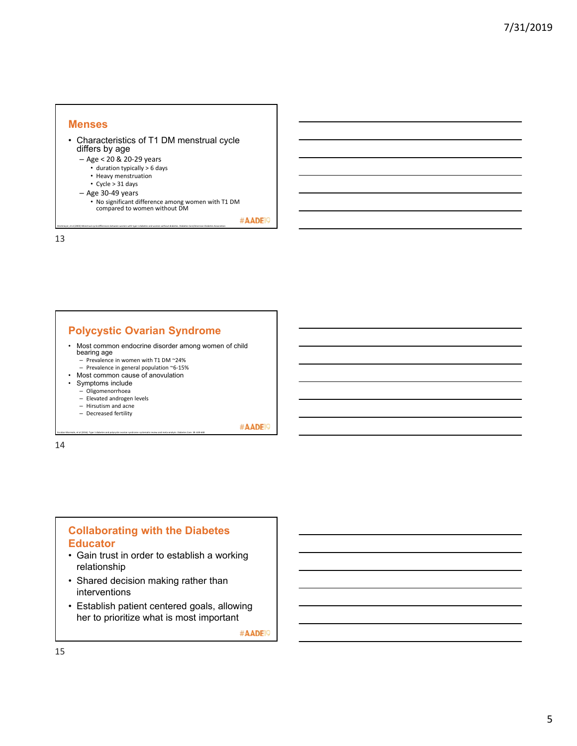# **Menses**

- Characteristics of T1 DM menstrual cycle differs by age
	- Age < 20 & 20‐29 years
		- duration typically > 6 days • Heavy menstruation
		- Cycle > 31 days
	- Age 30‐49 years
		-
		- No significant difference among women with T1 DM compared to women without DM

Strotmeyer, et al (2003) Menstrual cycle differences between women with type 1 diabetes and women without diabetes. Diabetes Care/American Diabetes Association

#AADE<sup>19</sup>

13

## **Polycystic Ovarian Syndrome**

- Most common endocrine disorder among women of child bearing age
	- Prevalence in women with T1 DM ~24% Prevalence in general population ~6‐15%
- Most common cause of anovulation

Escobar‐Morreale, et al (2016). Type 1 diabetes and polycystic ovarian syndrome: systematic review and meta‐analysis. Diabetes Care. 39: 639‐648

- Symptoms include
	- Oligomenorrhoea
	- Elevated androgen levels
	- Hirsutism and acne
	- Decreased fertility

#AADE<sup>19</sup>

14

## **Collaborating with the Diabetes Educator**

- Gain trust in order to establish a working relationship
- Shared decision making rather than interventions
- Establish patient centered goals, allowing her to prioritize what is most important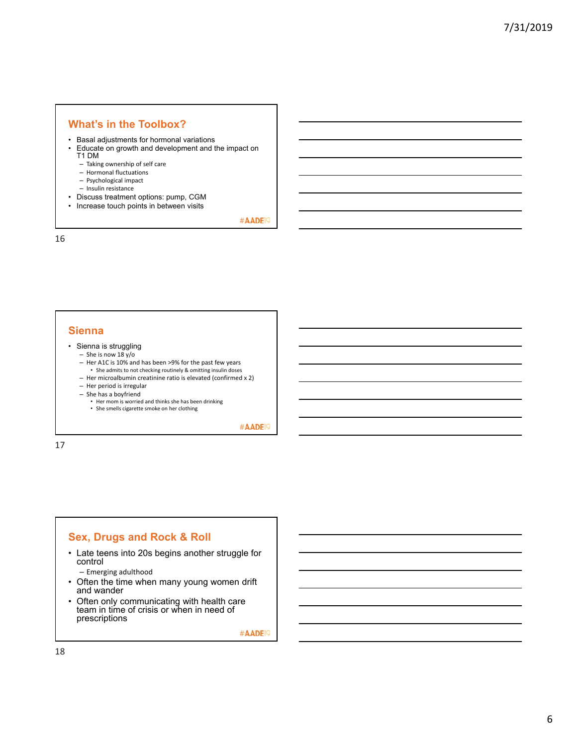## **What's in the Toolbox?**

- Basal adjustments for hormonal variations
- Educate on growth and development and the impact on T1 DM
	- Taking ownership of self care
	- Hormonal fluctuations
	- Psychological impact
	- Insulin resistance
- Discuss treatment options: pump, CGM
- Increase touch points in between visits

#AADE<sup>19</sup>

16

### **Sienna**

- Sienna is struggling
	- She is now 18 y/o
	- Her A1C is 10% and has been >9% for the past few years
	- She admits to not checking routinely & omitting insulin doses
	- Her microalbumin creatinine ratio is elevated (confirmed x 2) – Her period is irregular
	- She has a boyfriend
		- Her mom is worried and thinks she has been drinking
		- She smells cigarette smoke on her clothing

#AADE<sup>19</sup>

17

## **Sex, Drugs and Rock & Roll**

- Late teens into 20s begins another struggle for control
	- Emerging adulthood
- Often the time when many young women drift and wander
- Often only communicating with health care team in time of crisis or when in need of prescriptions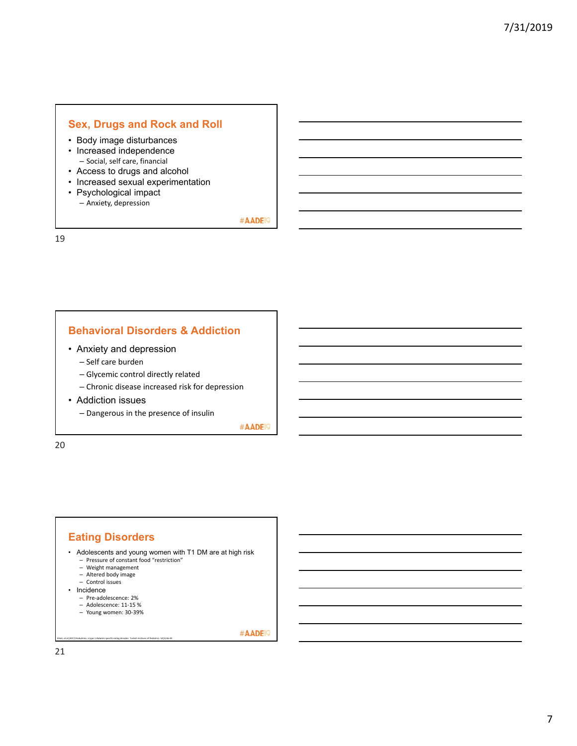## **Sex, Drugs and Rock and Roll**

- Body image disturbances
- Increased independence – Social, self care, financial
- Access to drugs and alcohol
- Increased sexual experimentation
- Psychological impact
	- Anxiety, depression

#AADE<sup>19</sup>

19

## **Behavioral Disorders & Addiction**

- Anxiety and depression
	- Self care burden
	- Glycemic control directly related
	- Chronic disease increased risk for depression
- Addiction issues

– Dangerous in the presence of insulin

#AADE<sup>19</sup>

20

## **Eating Disorders**

- Adolescents and young women with T1 DM are at high risk – Pressure of constant food "restriction"
	- Weight management
	-
	- Altered body image Control issues
- Incidence
	- Pre‐adolescence: 2%
	- Adolescence: 11‐15 %
	- Young women: 30‐39%

Klinik, et al (2017) Diabulimia, a type 1 diabetes specific eating disorder. Turkish Archives of Pediatrics. 52(1):46‐49

#AADE<sup>19</sup>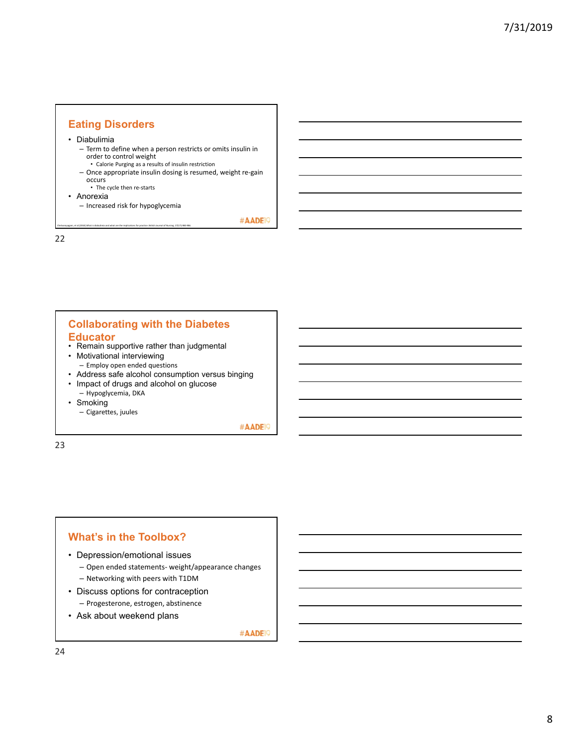

#AADE<sup>19</sup>

22

## **Collaborating with the Diabetes Educator**

- Remain supportive rather than judgmental
- Motivational interviewing – Employ open ended questions

Chelvanayagam, et al (2018) What is diabulimia and what are the implications for practice. British Journal of Nursing. 27(17):980‐986

- Address safe alcohol consumption versus binging
- Impact of drugs and alcohol on glucose
- Hypoglycemia, DKA • Smoking
	- Cigarettes, juules

#AADE<sup>19</sup>

23

## **What's in the Toolbox?**

- Depression/emotional issues
	- Open ended statements‐ weight/appearance changes – Networking with peers with T1DM
- Discuss options for contraception – Progesterone, estrogen, abstinence
- Ask about weekend plans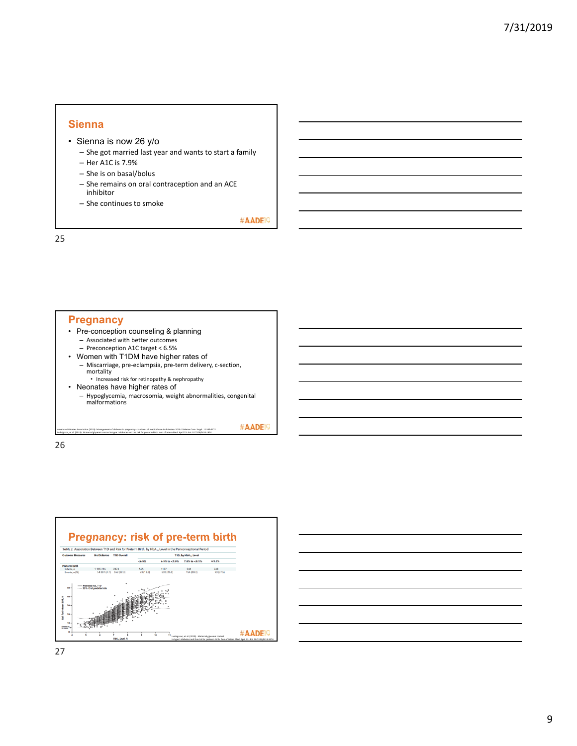#### **Sienna**

- Sienna is now 26 y/o
	- She got married last year and wants to start a family
	- Her A1C is 7.9%
	- She is on basal/bolus
	- She remains on oral contraception and an ACE inhibitor
	- She continues to smoke

#AADE<sup>19</sup>

25

## **Pregnancy**

- Pre-conception counseling & planning – Associated with better outcomes
	- Preconception A1C target < 6.5%
- Women with T1DM have higher rates of – Miscarriage, pre‐eclampsia, pre‐term delivery, c‐section, mortality
	- Increased risk for retinopathy & nephropathy

Ludvigsson, et al. (2019). Maternal glycemic control In type 1 diabetes and the risk for preterm birth. Ann of Intern Med. April 23. doi: 10.7326/M18‐1974.

• Neonates have higher rates of – Hypoglycemia, macrosomia, weight abnormalities, congenital malformations

American Diabetes Association (2019). Management of diabetes in pregnancy: standards of medical care in diabetes‐ 2019. Diabetes Care. Suppl. 1:S165‐S172.

#AADE<sup>19</sup>



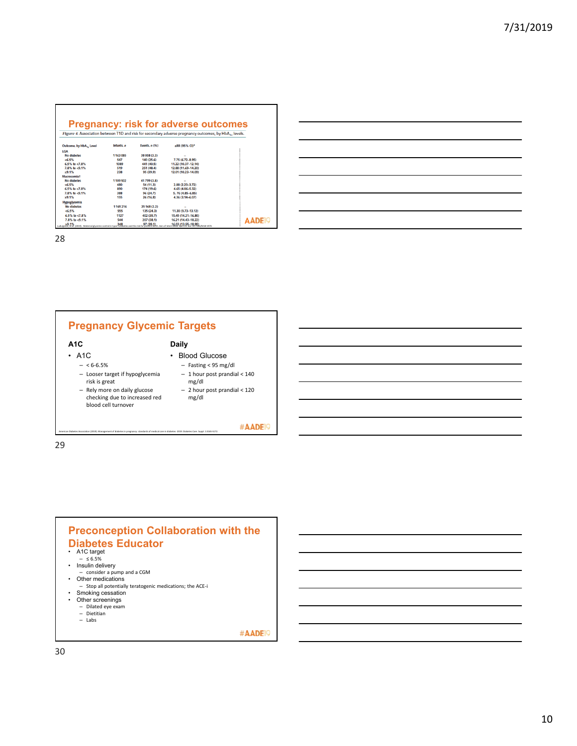|                                                                                                                   |                 | <b>Pregnancy: risk for adverse outcomes</b>                                                                                                           |                                                                                                                         |
|-------------------------------------------------------------------------------------------------------------------|-----------------|-------------------------------------------------------------------------------------------------------------------------------------------------------|-------------------------------------------------------------------------------------------------------------------------|
| Figure 4. Association between T1D and risk for secondary adverse pregnancy outcomes, by HbA <sub>1c</sub> levels. |                 |                                                                                                                                                       |                                                                                                                         |
| Infants, n                                                                                                        | Events, $n(96)$ | aRR (95% CI)*                                                                                                                                         |                                                                                                                         |
|                                                                                                                   |                 |                                                                                                                                                       |                                                                                                                         |
| 1163085                                                                                                           | 38 058 (3.3)    |                                                                                                                                                       |                                                                                                                         |
| 547                                                                                                               | 140 (25.6)      | 7.75 (6.72-8.95)                                                                                                                                      |                                                                                                                         |
| 1089                                                                                                              | 441 (40.5)      | 11.22 (10.37-12.14)                                                                                                                                   |                                                                                                                         |
| 519                                                                                                               | 251 (48.4)      | 12.88 (11.69-14.20)                                                                                                                                   |                                                                                                                         |
| 238                                                                                                               | 95 (39.9)       | 12.01 (10.23-14.09)                                                                                                                                   |                                                                                                                         |
|                                                                                                                   |                 |                                                                                                                                                       |                                                                                                                         |
| 1109502                                                                                                           | 41 799 (3.8)    |                                                                                                                                                       |                                                                                                                         |
| 480                                                                                                               | 54 (11.3)       | 2.88 (2.23-3.72)                                                                                                                                      |                                                                                                                         |
| 890                                                                                                               | 174 (19.6)      | 4.65 (4.06-5.32)                                                                                                                                      |                                                                                                                         |
| 388                                                                                                               | 96 (24.7)       | $5.76(4.85 - 6.85)$                                                                                                                                   |                                                                                                                         |
| 155                                                                                                               | 26 (16.8)       | 4.36 (3.14-6.07)                                                                                                                                      |                                                                                                                         |
|                                                                                                                   |                 |                                                                                                                                                       |                                                                                                                         |
| 1165216                                                                                                           | 25 168 (2.2)    |                                                                                                                                                       |                                                                                                                         |
| 555                                                                                                               | 135 (24.3)      | 11.30 (9.73-13.12)                                                                                                                                    |                                                                                                                         |
| 1127                                                                                                              |                 |                                                                                                                                                       |                                                                                                                         |
|                                                                                                                   |                 |                                                                                                                                                       | <b>AADE</b> IS                                                                                                          |
|                                                                                                                   |                 |                                                                                                                                                       |                                                                                                                         |
|                                                                                                                   | 544             | 402 (35.7)<br>207 (38.1)<br>29.1% 97 (39.1)<br>Ludviesson, et al. (2019). Maternal shoemic control in type 1 diabetes and the risk for preferm birth. | 15.45 (14.21-16.80)<br>16.21 (14.43-18.22)<br>16.03 (13.55-18.95)<br>Ann of Intern Med. April 23: doi: 10.7326/M18-1974 |



28



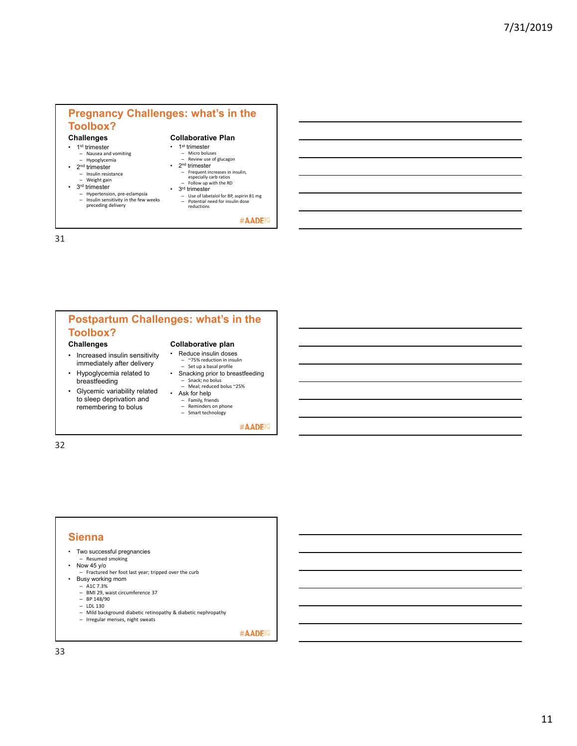## **Pregnancy Challenges: what's in the Toolbox?**

#### **Challenges**

- 1<sup>st</sup> trimester – Nausea and vomiting – Hypoglycemia
- 2<sup>nd</sup> trimester
	-
	- Insulin resistance Weight gain
- 3<sup>rd</sup> trimester
- Hypertension, pre-eclampsia<br>– Insulin sensitivity in the few v – Insulin sensitivity in the few weeks preceding delivery
- 1st trimester – Micro boluses – Review use of glucagon • 2nd trimester

**Collaborative Plan**

- Frequent increases in insulin, especially carb ratios Follow up with the RD
- 3<sup>rd</sup> trimester
- Use of labetalol for BP, aspirin 81 mg Potential need for insulin dose reductions
	- #AADE<sup>19</sup>

31

## **Postpartum Challenges: what's in the Toolbox?**

#### **Challenges**

- Increased insulin sensitivity immediately after delivery
- Hypoglycemia related to breastfeeding
- Glycemic variability related to sleep deprivation and remembering to bolus

#### **Collaborative plan**

- Reduce insulin doses – ~75% reduction in insulin – Set up a basal profile
- Snacking prior to breastfeeding Snack; no bolus Meal; reduced bolus ~25%
- Ask for help
	- Family, friends Reminders on phone
	- Smart technology

#AADE<sup>19</sup>

32

## **Sienna**

- Two successful pregnancies
- Resumed smoking Now 45 y/o
- 
- Fractured her foot last year; tripped over the curb
- Busy working mom  $-$  A1C 7.3%
	- BMI 29, waist circumference 37
	- $-$  BP 148/90
	- LDL 130
	- Mild background diabetic retinopathy & diabetic nephropathy – Irregular menses, night sweats
		-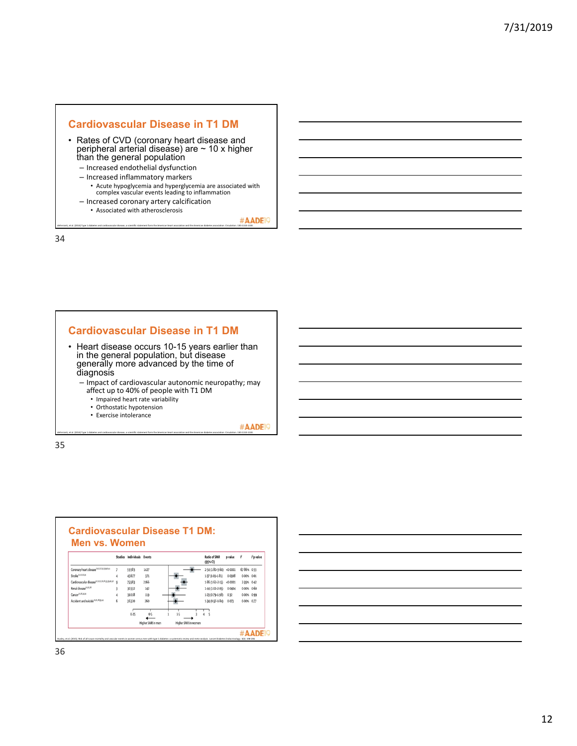

- Rates of CVD (coronary heart disease and peripheral arterial disease) are ~ 10 x higher than the general population
	- Increased endothelial dysfunction – Increased inflammatory markers
	- Acute hypoglycemia and hyperglycemia are associated with complex vascular events leading to inflammation
	- Increased coronary artery calcification • Associated with atherosclerosis

#AADE<sup>19</sup> deFerranti, et al. (2014) Type 1 diabetes and cardiovascular disease, a scientific statement form the American heart association and the American diabetes association. Circulation. 130:1110‐1130.

34



- Heart disease occurs 10-15 years earlier than in the general population, but disease generally more advanced by the time of diagnosis
	- Impact of cardiovascular autonomic neuropathy; may affect up to 40% of people with T1 DM
		- Impaired heart rate variability
		- Orthostatic hypotension
		- Exercise intolerance

#AADE<sup>19</sup> deFerranti, et al. (2014) Type 1 diabetes and cardiovascular disease, a scientific statement form the American heart association and the American diabetes association. Circulation. 130:1110‐1130.



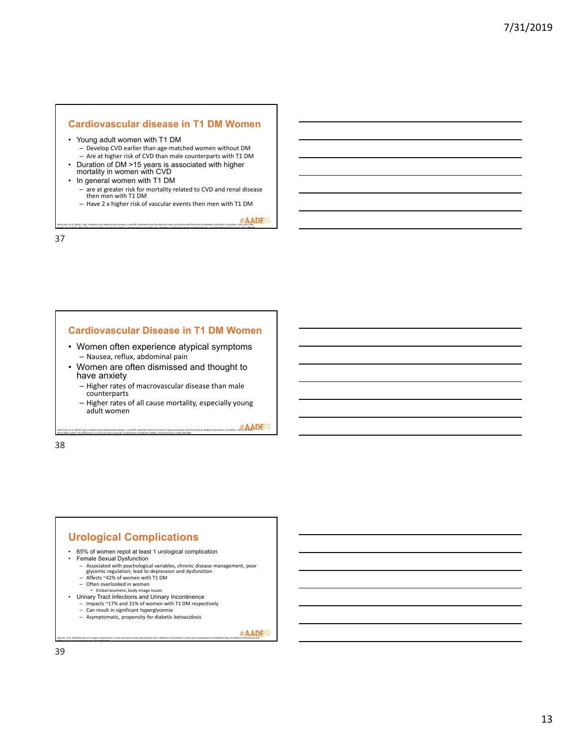#### **Cardiovascular disease in T1 DM Women**

- Young adult women with T1 DM
	- Develop CVD earlier than age‐matched women without DM – Are at higher risk of CVD than male counterparts with T1 DM
- Duration of DM >15 years is associated with higher mortality in women with CVD
- In general women with T1 DM
	- are at greater risk for mortality related to CVD and renal disease then men with T1 DM
	- Have 2 x higher risk of vascular events then men with T1 DM

Huxley, et al. (2015). Risk of all‐cause mortality and vascular events in women versus men with type 1 diabetes: a systematic review and meta‐analysis. Lancet Diabetes Endocrinology. 3(3): 198‐206

deFerranti, et al. (2014). Type 1 diabetes and cardiovascular disease, a scientific statement form the American heart association and the American diabetes association. Circulation. 130:1110‐1130.

37

#### **Cardiovascular Disease in T1 DM Women**

- Women often experience atypical symptoms – Nausea, reflux, abdominal pain
- Women are often dismissed and thought to have anxiety
	- Higher rates of macrovascular disease than male counterparts
	- Higher rates of all cause mortality, especially young adult women

deFerranti, et al. (2014) Type 1 diabetes and cardiovascular disease, a scientific statement form the American heart association and the American diabetes association. Circulation. 130:1110‐1130.

38

## **Urological Complications**

• 65% of women repot at least 1 urological complication<br>• Eemale Sexual Dysfunction

- Female Sexual Dysfunction
	- Associated with psychological variables, chronic disease management, poor glycemic regulation; lead to depression and dysfunction Affects ~42% of women with T1 DM
	-

Maric‐Bilkan (2017). Sex differences in micro and macro‐vascular complications of diabetes mellitus. Clinical Science. 131(9): 833‐846.

- Often overlooked in women • Embarrassment, body image issues
- Urinary Tract Infections and Urinary Incontinence
	- Impacts ~17% and 31% of women with T1 DM respectively
	-
	- Can result in significant hyperglycemia Asymptomatic, propensity for diabetic ketoacidosis

Wessels, et al. (2018) Burden of Urologic complications in men and women with long‐standing type 1 diabetes in the diabetes control and complications trial/epidemiology of diabetes interventions and

complications cohort. Diabetes Care. 41: 2170‐2177.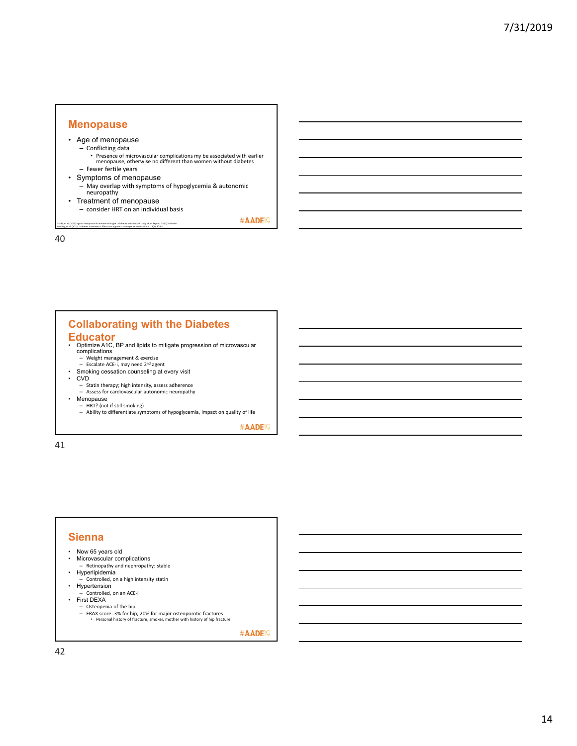#### **Menopause**

- Age of menopause
	- Conflicting data
		- Presence of microvascular complications my be associated with earlier menopause, otherwise no different than women without diabetes
- Fewer fertile years
- Symptoms of menopause – May overlap with symptoms of hypoglycemia & autonomic neuropathy
- Treatment of menopause
	- consider HRT on an individual basis

Yarde, et al. (2015) Age at menopause in women with type 1 diabetes: the OVADIA study. Hum Reprod. 30 (2): 441‐446. Morling, et al. (2013). Diabetes in women‐ a life course approach. Menopause International. 19(2); 87‐95.

40

## **Collaborating with the Diabetes Educator**

- Optimize A1C, BP and lipids to mitigate progression of microvascular complications – Weight management & exercise
	- Escalate ACE‐i, may need 2nd agent
- Smoking cessation counseling at every visit
- CVD
	- Statin therapy; high intensity, assess adherence
- Assess for cardiovascular autonomic neuropathy Menopause
	- HRT? (not if still smoking)
	- Ability to differentiate symptoms of hypoglycemia, impact on quality of life

#AADE<sup>19</sup>

#AADE<sup>19</sup>

41

## **Sienna**

- Now 65 years old
- Microvascular complications – Retinopathy and nephropathy: stable
- Hyperlipidemia
- Controlled, on a high intensity statin • Hypertension
- Controlled, on an ACE‐i
- First DEXA
	- Osteopenia of the hip
	- FRAX score: 3% for hip, 20% for major osteoporotic fractures Personal history of fracture, smoker, mother with history of hip fracture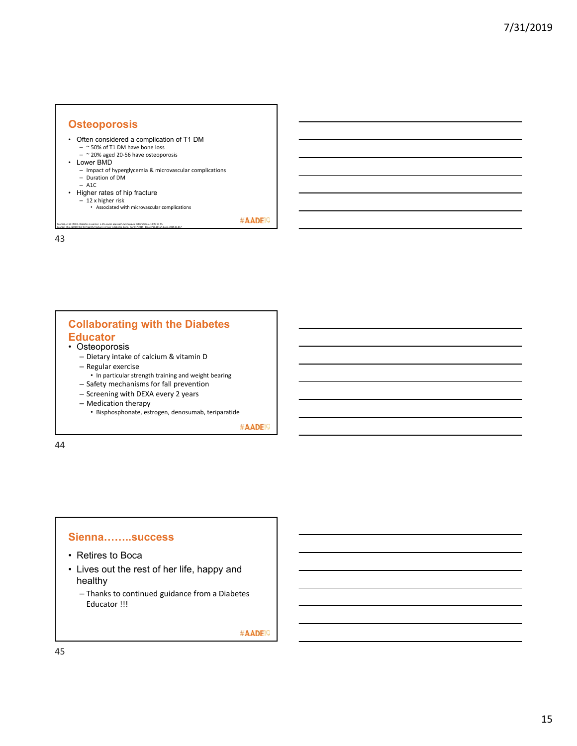#### **Osteoporosis**

- Often considered a complication of T1 DM  $-$  ~ 50% of T1 DM have bone loss
- ~ 20% aged 20‐56 have osteoporosis
- Lower BMD
	- Impact of hyperglycemia & microvascular complications Duration of DM
	-
- A1C
- Higher rates of hip fracture

Morling, et al. (2013). Diabetes in women‐ a life course approach. Menopause International. 19(2); 87‐95. Leanzig, et al. (2019) Risk for fragility fractures in type 1 diabetes. Bone. April 17,2019. doi.org/10.1016/j.bone. 2019.04.017

– 12 x higher risk • Associated with microvascular complications

#AADE<sup>19</sup>

43

## **Collaborating with the Diabetes Educator**

- Osteoporosis
	- Dietary intake of calcium & vitamin D
	- Regular exercise
		- In particular strength training and weight bearing
	- Safety mechanisms for fall prevention
	- Screening with DEXA every 2 years
	- Medication therapy
	- Bisphosphonate, estrogen, denosumab, teriparatide

#AADE<sup>19</sup>

44

#### **Sienna……..success**

- Retires to Boca
- Lives out the rest of her life, happy and healthy
	- Thanks to continued guidance from a Diabetes Educator !!!